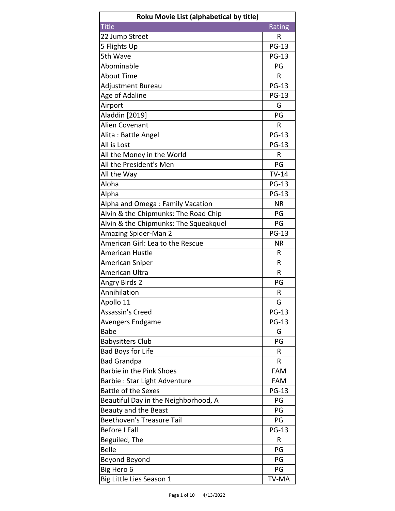| Roku Movie List (alphabetical by title) |              |
|-----------------------------------------|--------------|
| <b>Title</b>                            | Rating       |
| 22 Jump Street                          | R            |
| 5 Flights Up                            | <b>PG-13</b> |
| 5th Wave                                | <b>PG-13</b> |
| Abominable                              | PG           |
| <b>About Time</b>                       | R            |
| Adjustment Bureau                       | <b>PG-13</b> |
| Age of Adaline                          | <b>PG-13</b> |
| Airport                                 | G            |
| Aladdin [2019]                          | PG           |
| Alien Covenant                          | R            |
| Alita: Battle Angel                     | <b>PG-13</b> |
| All is Lost                             | <b>PG-13</b> |
| All the Money in the World              | R            |
| All the President's Men                 | PG           |
| All the Way                             | $TV-14$      |
| Aloha                                   | <b>PG-13</b> |
| Alpha                                   | <b>PG-13</b> |
| Alpha and Omega: Family Vacation        | ΝR           |
| Alvin & the Chipmunks: The Road Chip    | PG           |
| Alvin & the Chipmunks: The Squeakquel   | PG           |
| <b>Amazing Spider-Man 2</b>             | <b>PG-13</b> |
| American Girl: Lea to the Rescue        | <b>NR</b>    |
| <b>American Hustle</b>                  | R            |
| American Sniper                         | R            |
| American Ultra                          | R            |
| <b>Angry Birds 2</b>                    | PG           |
| Annihilation                            | R            |
| Apollo 11                               | G            |
| Assassin's Creed                        | <b>PG-13</b> |
| Avengers Endgame                        | <b>PG-13</b> |
| Babe                                    | G            |
| <b>Babysitters Club</b>                 | PG           |
| <b>Bad Boys for Life</b>                | R            |
| <b>Bad Grandpa</b>                      | R            |
| <b>Barbie in the Pink Shoes</b>         | <b>FAM</b>   |
| Barbie: Star Light Adventure            | FAM          |
| <b>Battle of the Sexes</b>              | <b>PG-13</b> |
| Beautiful Day in the Neighborhood, A    | PG           |
| Beauty and the Beast                    | PG           |
| <b>Beethoven's Treasure Tail</b>        | PG           |
| <b>Before I Fall</b>                    | <b>PG-13</b> |
| Beguiled, The                           | R            |
| <b>Belle</b>                            | PG           |
| Beyond Beyond                           | PG           |
| Big Hero 6                              | PG           |
| Big Little Lies Season 1                | TV-MA        |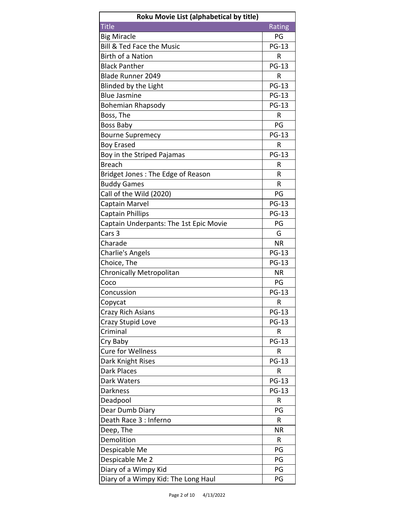| Roku Movie List (alphabetical by title) |              |
|-----------------------------------------|--------------|
| <b>Title</b>                            | Rating       |
| <b>Big Miracle</b>                      | PG           |
| <b>Bill &amp; Ted Face the Music</b>    | <b>PG-13</b> |
| <b>Birth of a Nation</b>                | R            |
| <b>Black Panther</b>                    | <b>PG-13</b> |
| <b>Blade Runner 2049</b>                | R            |
| Blinded by the Light                    | <b>PG-13</b> |
| <b>Blue Jasmine</b>                     | <b>PG-13</b> |
| <b>Bohemian Rhapsody</b>                | <b>PG-13</b> |
| Boss, The                               | R            |
| <b>Boss Baby</b>                        | PG           |
| <b>Bourne Supremecy</b>                 | <b>PG-13</b> |
| <b>Boy Erased</b>                       | R            |
| Boy in the Striped Pajamas              | <b>PG-13</b> |
| <b>Breach</b>                           | R            |
| Bridget Jones: The Edge of Reason       | R            |
| <b>Buddy Games</b>                      | R            |
| Call of the Wild (2020)                 | PG           |
| Captain Marvel                          | <b>PG-13</b> |
|                                         | <b>PG-13</b> |
| <b>Captain Phillips</b>                 |              |
| Captain Underpants: The 1st Epic Movie  | PG           |
| Cars <sub>3</sub>                       | G            |
| Charade                                 | <b>NR</b>    |
| <b>Charlie's Angels</b>                 | <b>PG-13</b> |
| Choice, The                             | <b>PG-13</b> |
| <b>Chronically Metropolitan</b>         | <b>NR</b>    |
| Coco                                    | PG           |
| Concussion                              | <b>PG-13</b> |
| Copycat                                 | R            |
| Crazy Rich Asians                       | <b>PG-13</b> |
| Crazy Stupid Love                       | <b>PG-13</b> |
| Criminal                                | R            |
| Cry Baby                                | <b>PG-13</b> |
| <b>Cure for Wellness</b>                | R            |
| Dark Knight Rises                       | <b>PG-13</b> |
| Dark Places                             | R            |
| Dark Waters                             | <b>PG-13</b> |
| Darkness                                | <b>PG-13</b> |
| Deadpool                                | R            |
| Dear Dumb Diary                         | PG           |
| Death Race 3 : Inferno                  | R            |
| Deep, The                               | <b>NR</b>    |
| Demolition                              | R            |
| Despicable Me                           | PG           |
| Despicable Me 2                         | PG           |
| Diary of a Wimpy Kid                    | PG           |
| Diary of a Wimpy Kid: The Long Haul     | PG           |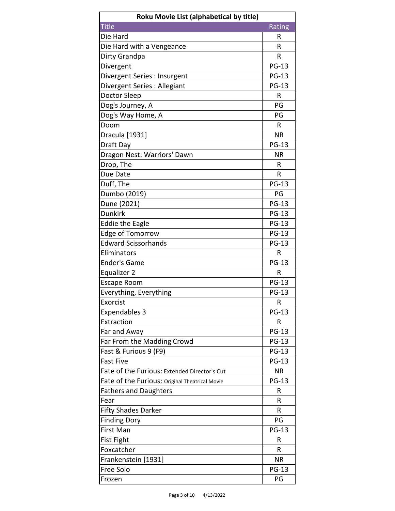| Roku Movie List (alphabetical by title)        |              |
|------------------------------------------------|--------------|
| <b>Title</b>                                   | Rating       |
| Die Hard                                       | R            |
| Die Hard with a Vengeance                      | R            |
| Dirty Grandpa                                  | R            |
| Divergent                                      | <b>PG-13</b> |
| Divergent Series : Insurgent                   | <b>PG-13</b> |
| Divergent Series: Allegiant                    | <b>PG-13</b> |
| Doctor Sleep                                   | R            |
| Dog's Journey, A                               | PG           |
| Dog's Way Home, A                              | PG           |
| Doom                                           | R            |
| Dracula [1931]                                 | <b>NR</b>    |
| Draft Day                                      | <b>PG-13</b> |
| Dragon Nest: Warriors' Dawn                    | <b>NR</b>    |
| Drop, The                                      | R            |
| Due Date                                       | R            |
| Duff, The                                      | <b>PG-13</b> |
| Dumbo (2019)                                   | PG           |
| Dune (2021)                                    | <b>PG-13</b> |
| <b>Dunkirk</b>                                 | <b>PG-13</b> |
| <b>Eddie the Eagle</b>                         | <b>PG-13</b> |
| <b>Edge of Tomorrow</b>                        | <b>PG-13</b> |
| <b>Edward Scissorhands</b>                     | <b>PG-13</b> |
| Eliminators                                    | R            |
| <b>Ender's Game</b>                            | <b>PG-13</b> |
| Equalizer 2                                    | R            |
| <b>Escape Room</b>                             | <b>PG-13</b> |
| Everything, Everything                         | <b>PG-13</b> |
| Exorcist                                       | R            |
| <b>Expendables 3</b>                           | <b>PG-13</b> |
| Extraction                                     | R            |
| Far and Away                                   | <b>PG-13</b> |
| Far From the Madding Crowd                     | <b>PG-13</b> |
| Fast & Furious 9 (F9)                          | <b>PG-13</b> |
| <b>Fast Five</b>                               | <b>PG-13</b> |
| Fate of the Furious: Extended Director's Cut   | <b>NR</b>    |
| Fate of the Furious: Original Theatrical Movie | <b>PG-13</b> |
| <b>Fathers and Daughters</b>                   | R            |
| Fear                                           | R            |
| <b>Fifty Shades Darker</b>                     | R            |
| <b>Finding Dory</b>                            | PG           |
| First Man                                      | <b>PG-13</b> |
| <b>Fist Fight</b>                              | R            |
| Foxcatcher                                     | R            |
| Frankenstein [1931]                            | <b>NR</b>    |
| Free Solo                                      | <b>PG-13</b> |
| Frozen                                         | PG           |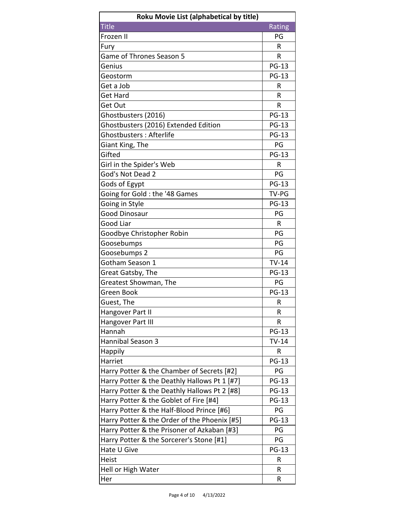| Roku Movie List (alphabetical by title)      |              |
|----------------------------------------------|--------------|
| <b>Title</b>                                 | Rating       |
| Frozen II                                    | PG           |
| Fury                                         | R            |
| <b>Game of Thrones Season 5</b>              | R            |
| Genius                                       | <b>PG-13</b> |
| Geostorm                                     | <b>PG-13</b> |
| Get a Job                                    | R            |
| <b>Get Hard</b>                              | R            |
| Get Out                                      | R            |
| Ghostbusters (2016)                          | <b>PG-13</b> |
| Ghostbusters (2016) Extended Edition         | <b>PG-13</b> |
| Ghostbusters: Afterlife                      | <b>PG-13</b> |
| Giant King, The                              | PG           |
| Gifted                                       | <b>PG-13</b> |
| Girl in the Spider's Web                     | R            |
| God's Not Dead 2                             | PG           |
| Gods of Egypt                                | <b>PG-13</b> |
| Going for Gold: the '48 Games                | TV-PG        |
| Going in Style                               | <b>PG-13</b> |
| <b>Good Dinosaur</b>                         | PG           |
| Good Liar                                    | R            |
| Goodbye Christopher Robin                    | PG           |
| Goosebumps                                   | PG           |
| Goosebumps 2                                 | PG           |
| Gotham Season 1                              | $TV-14$      |
| Great Gatsby, The                            | <b>PG-13</b> |
| Greatest Showman, The                        | PG           |
| Green Book                                   | <b>PG-13</b> |
| Guest, The                                   | R            |
| Hangover Part II                             | R            |
| Hangover Part III                            | R            |
| Hannah                                       | <b>PG-13</b> |
| Hannibal Season 3                            | $TV-14$      |
| Happily                                      | R            |
| Harriet                                      | <b>PG-13</b> |
| Harry Potter & the Chamber of Secrets [#2]   | PG           |
| Harry Potter & the Deathly Hallows Pt 1 [#7] | <b>PG-13</b> |
| Harry Potter & the Deathly Hallows Pt 2 [#8] | <b>PG-13</b> |
| Harry Potter & the Goblet of Fire [#4]       | <b>PG-13</b> |
| Harry Potter & the Half-Blood Prince [#6]    | PG           |
| Harry Potter & the Order of the Phoenix [#5] | <b>PG-13</b> |
| Harry Potter & the Prisoner of Azkaban [#3]  | PG           |
| Harry Potter & the Sorcerer's Stone [#1]     | PG           |
| Hate U Give                                  | <b>PG-13</b> |
| Heist                                        | R            |
| Hell or High Water                           | R            |
| Her                                          | R            |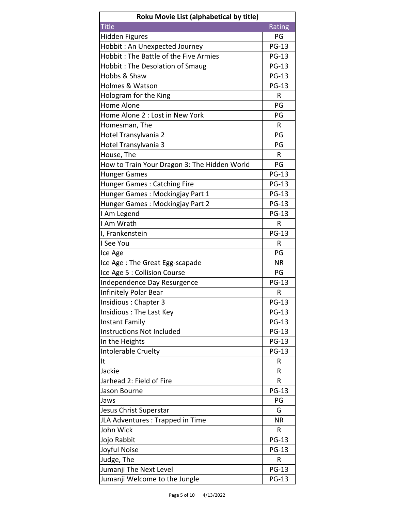| Rating<br>PG<br><b>PG-13</b><br><b>PG-13</b><br><b>PG-13</b><br><b>PG-13</b><br><b>PG-13</b><br>R<br>PG<br>PG<br>R<br>PG<br>PG<br>R<br>PG<br><b>PG-13</b><br><b>PG-13</b><br><b>Hunger Games: Catching Fire</b><br>Hunger Games: Mockingjay Part 1<br><b>PG-13</b><br><b>PG-13</b><br><b>PG-13</b><br>$\mathsf{R}$<br><b>PG-13</b><br>R<br>PG<br>Ice Age: The Great Egg-scapade<br><b>NR</b><br>Ice Age 5 : Collision Course<br>PG<br><b>PG-13</b><br>Independence Day Resurgence<br>Infinitely Polar Bear<br>R<br><b>PG-13</b><br>Insidious: Chapter 3<br><b>PG-13</b><br><b>PG-13</b><br><b>PG-13</b><br><b>PG-13</b><br>In the Heights<br><b>PG-13</b><br>R<br>R<br>R<br><b>PG-13</b><br>PG<br>G<br><b>NR</b><br>R<br><b>PG-13</b><br><b>PG-13</b><br>Judge, The<br>R<br>Jumanji The Next Level<br><b>PG-13</b> | Roku Movie List (alphabetical by title)      |              |
|--------------------------------------------------------------------------------------------------------------------------------------------------------------------------------------------------------------------------------------------------------------------------------------------------------------------------------------------------------------------------------------------------------------------------------------------------------------------------------------------------------------------------------------------------------------------------------------------------------------------------------------------------------------------------------------------------------------------------------------------------------------------------------------------------------------------|----------------------------------------------|--------------|
|                                                                                                                                                                                                                                                                                                                                                                                                                                                                                                                                                                                                                                                                                                                                                                                                                    | <b>Title</b>                                 |              |
|                                                                                                                                                                                                                                                                                                                                                                                                                                                                                                                                                                                                                                                                                                                                                                                                                    | <b>Hidden Figures</b>                        |              |
|                                                                                                                                                                                                                                                                                                                                                                                                                                                                                                                                                                                                                                                                                                                                                                                                                    | Hobbit: An Unexpected Journey                |              |
|                                                                                                                                                                                                                                                                                                                                                                                                                                                                                                                                                                                                                                                                                                                                                                                                                    | Hobbit: The Battle of the Five Armies        |              |
|                                                                                                                                                                                                                                                                                                                                                                                                                                                                                                                                                                                                                                                                                                                                                                                                                    | <b>Hobbit: The Desolation of Smaug</b>       |              |
|                                                                                                                                                                                                                                                                                                                                                                                                                                                                                                                                                                                                                                                                                                                                                                                                                    | Hobbs & Shaw                                 |              |
|                                                                                                                                                                                                                                                                                                                                                                                                                                                                                                                                                                                                                                                                                                                                                                                                                    | Holmes & Watson                              |              |
|                                                                                                                                                                                                                                                                                                                                                                                                                                                                                                                                                                                                                                                                                                                                                                                                                    | Hologram for the King                        |              |
|                                                                                                                                                                                                                                                                                                                                                                                                                                                                                                                                                                                                                                                                                                                                                                                                                    | <b>Home Alone</b>                            |              |
|                                                                                                                                                                                                                                                                                                                                                                                                                                                                                                                                                                                                                                                                                                                                                                                                                    | Home Alone 2 : Lost in New York              |              |
|                                                                                                                                                                                                                                                                                                                                                                                                                                                                                                                                                                                                                                                                                                                                                                                                                    | Homesman, The                                |              |
|                                                                                                                                                                                                                                                                                                                                                                                                                                                                                                                                                                                                                                                                                                                                                                                                                    | Hotel Transylvania 2                         |              |
|                                                                                                                                                                                                                                                                                                                                                                                                                                                                                                                                                                                                                                                                                                                                                                                                                    | Hotel Transylvania 3                         |              |
|                                                                                                                                                                                                                                                                                                                                                                                                                                                                                                                                                                                                                                                                                                                                                                                                                    | House, The                                   |              |
|                                                                                                                                                                                                                                                                                                                                                                                                                                                                                                                                                                                                                                                                                                                                                                                                                    | How to Train Your Dragon 3: The Hidden World |              |
|                                                                                                                                                                                                                                                                                                                                                                                                                                                                                                                                                                                                                                                                                                                                                                                                                    | <b>Hunger Games</b>                          |              |
|                                                                                                                                                                                                                                                                                                                                                                                                                                                                                                                                                                                                                                                                                                                                                                                                                    |                                              |              |
|                                                                                                                                                                                                                                                                                                                                                                                                                                                                                                                                                                                                                                                                                                                                                                                                                    |                                              |              |
|                                                                                                                                                                                                                                                                                                                                                                                                                                                                                                                                                                                                                                                                                                                                                                                                                    | Hunger Games: Mockingjay Part 2              |              |
|                                                                                                                                                                                                                                                                                                                                                                                                                                                                                                                                                                                                                                                                                                                                                                                                                    | I Am Legend                                  |              |
|                                                                                                                                                                                                                                                                                                                                                                                                                                                                                                                                                                                                                                                                                                                                                                                                                    | I Am Wrath                                   |              |
|                                                                                                                                                                                                                                                                                                                                                                                                                                                                                                                                                                                                                                                                                                                                                                                                                    | I, Frankenstein                              |              |
|                                                                                                                                                                                                                                                                                                                                                                                                                                                                                                                                                                                                                                                                                                                                                                                                                    | I See You                                    |              |
|                                                                                                                                                                                                                                                                                                                                                                                                                                                                                                                                                                                                                                                                                                                                                                                                                    | Ice Age                                      |              |
|                                                                                                                                                                                                                                                                                                                                                                                                                                                                                                                                                                                                                                                                                                                                                                                                                    |                                              |              |
|                                                                                                                                                                                                                                                                                                                                                                                                                                                                                                                                                                                                                                                                                                                                                                                                                    |                                              |              |
|                                                                                                                                                                                                                                                                                                                                                                                                                                                                                                                                                                                                                                                                                                                                                                                                                    |                                              |              |
|                                                                                                                                                                                                                                                                                                                                                                                                                                                                                                                                                                                                                                                                                                                                                                                                                    |                                              |              |
|                                                                                                                                                                                                                                                                                                                                                                                                                                                                                                                                                                                                                                                                                                                                                                                                                    |                                              |              |
|                                                                                                                                                                                                                                                                                                                                                                                                                                                                                                                                                                                                                                                                                                                                                                                                                    | Insidious: The Last Key                      |              |
|                                                                                                                                                                                                                                                                                                                                                                                                                                                                                                                                                                                                                                                                                                                                                                                                                    | <b>Instant Family</b>                        |              |
|                                                                                                                                                                                                                                                                                                                                                                                                                                                                                                                                                                                                                                                                                                                                                                                                                    | <b>Instructions Not Included</b>             |              |
|                                                                                                                                                                                                                                                                                                                                                                                                                                                                                                                                                                                                                                                                                                                                                                                                                    |                                              |              |
|                                                                                                                                                                                                                                                                                                                                                                                                                                                                                                                                                                                                                                                                                                                                                                                                                    | Intolerable Cruelty                          |              |
|                                                                                                                                                                                                                                                                                                                                                                                                                                                                                                                                                                                                                                                                                                                                                                                                                    | It                                           |              |
|                                                                                                                                                                                                                                                                                                                                                                                                                                                                                                                                                                                                                                                                                                                                                                                                                    | Jackie                                       |              |
|                                                                                                                                                                                                                                                                                                                                                                                                                                                                                                                                                                                                                                                                                                                                                                                                                    | Jarhead 2: Field of Fire                     |              |
|                                                                                                                                                                                                                                                                                                                                                                                                                                                                                                                                                                                                                                                                                                                                                                                                                    | Jason Bourne                                 |              |
|                                                                                                                                                                                                                                                                                                                                                                                                                                                                                                                                                                                                                                                                                                                                                                                                                    | Jaws                                         |              |
|                                                                                                                                                                                                                                                                                                                                                                                                                                                                                                                                                                                                                                                                                                                                                                                                                    | Jesus Christ Superstar                       |              |
|                                                                                                                                                                                                                                                                                                                                                                                                                                                                                                                                                                                                                                                                                                                                                                                                                    | JLA Adventures : Trapped in Time             |              |
|                                                                                                                                                                                                                                                                                                                                                                                                                                                                                                                                                                                                                                                                                                                                                                                                                    | John Wick                                    |              |
|                                                                                                                                                                                                                                                                                                                                                                                                                                                                                                                                                                                                                                                                                                                                                                                                                    | Jojo Rabbit                                  |              |
|                                                                                                                                                                                                                                                                                                                                                                                                                                                                                                                                                                                                                                                                                                                                                                                                                    | Joyful Noise                                 |              |
|                                                                                                                                                                                                                                                                                                                                                                                                                                                                                                                                                                                                                                                                                                                                                                                                                    |                                              |              |
|                                                                                                                                                                                                                                                                                                                                                                                                                                                                                                                                                                                                                                                                                                                                                                                                                    |                                              |              |
|                                                                                                                                                                                                                                                                                                                                                                                                                                                                                                                                                                                                                                                                                                                                                                                                                    | Jumanji Welcome to the Jungle                | <b>PG-13</b> |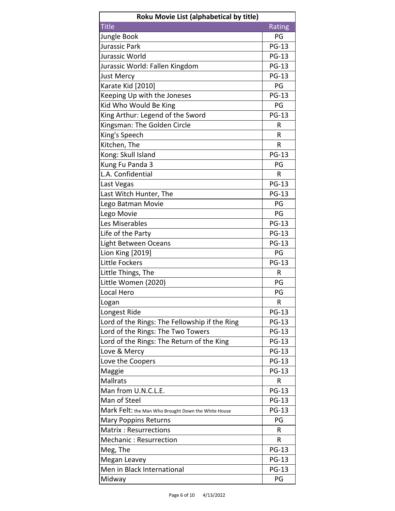| Roku Movie List (alphabetical by title)             |              |
|-----------------------------------------------------|--------------|
| <b>Title</b>                                        | Rating       |
| Jungle Book                                         | PG           |
| Jurassic Park                                       | <b>PG-13</b> |
| Jurassic World                                      | <b>PG-13</b> |
| Jurassic World: Fallen Kingdom                      | <b>PG-13</b> |
| <b>Just Mercy</b>                                   | <b>PG-13</b> |
| Karate Kid [2010]                                   | PG           |
| Keeping Up with the Joneses                         | <b>PG-13</b> |
| Kid Who Would Be King                               | PG           |
| King Arthur: Legend of the Sword                    | <b>PG-13</b> |
| Kingsman: The Golden Circle                         | R            |
| King's Speech                                       | R            |
| Kitchen, The                                        | R            |
| Kong: Skull Island                                  | <b>PG-13</b> |
| Kung Fu Panda 3                                     | PG           |
| L.A. Confidential                                   | R            |
| Last Vegas                                          | <b>PG-13</b> |
| Last Witch Hunter, The                              | <b>PG-13</b> |
| Lego Batman Movie                                   | PG           |
| Lego Movie                                          | PG           |
| Les Miserables                                      | <b>PG-13</b> |
| Life of the Party                                   | <b>PG-13</b> |
| Light Between Oceans                                | <b>PG-13</b> |
| Lion King [2019]                                    | PG           |
| <b>Little Fockers</b>                               | <b>PG-13</b> |
| Little Things, The                                  | R            |
| Little Women (2020)                                 | PG           |
| Local Hero                                          | PG           |
| Logan                                               | R            |
| Longest Ride                                        | <b>PG-13</b> |
| Lord of the Rings: The Fellowship if the Ring       | <b>PG-13</b> |
| Lord of the Rings: The Two Towers                   | <b>PG-13</b> |
| Lord of the Rings: The Return of the King           | <b>PG-13</b> |
| Love & Mercy                                        | <b>PG-13</b> |
| Love the Coopers                                    | <b>PG-13</b> |
| Maggie                                              | <b>PG-13</b> |
| <b>Mallrats</b>                                     | R            |
| Man from U.N.C.L.E.                                 | <b>PG-13</b> |
| Man of Steel                                        | <b>PG-13</b> |
| Mark Felt: the Man Who Brought Down the White House | <b>PG-13</b> |
| Mary Poppins Returns                                | PG           |
| <b>Matrix: Resurrections</b>                        | R            |
| <b>Mechanic: Resurrection</b>                       | R            |
| Meg, The                                            | <b>PG-13</b> |
| Megan Leavey                                        | <b>PG-13</b> |
| Men in Black International                          | <b>PG-13</b> |
| Midway                                              | PG           |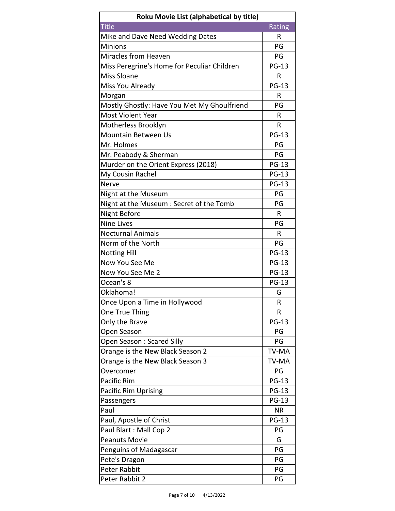| Roku Movie List (alphabetical by title)     |              |
|---------------------------------------------|--------------|
| <b>Title</b>                                | Rating       |
| Mike and Dave Need Wedding Dates            | R            |
| Minions                                     | PG           |
| Miracles from Heaven                        | PG           |
| Miss Peregrine's Home for Peculiar Children | <b>PG-13</b> |
| <b>Miss Sloane</b>                          | R            |
| Miss You Already                            | <b>PG-13</b> |
| Morgan                                      | R            |
| Mostly Ghostly: Have You Met My Ghoulfriend | PG           |
| <b>Most Violent Year</b>                    | R            |
| Motherless Brooklyn                         | R            |
| <b>Mountain Between Us</b>                  | <b>PG-13</b> |
| Mr. Holmes                                  | PG           |
| Mr. Peabody & Sherman                       | PG           |
| Murder on the Orient Express (2018)         | <b>PG-13</b> |
| My Cousin Rachel                            | <b>PG-13</b> |
| <b>Nerve</b>                                | <b>PG-13</b> |
| Night at the Museum                         | PG           |
| Night at the Museum : Secret of the Tomb    | PG           |
| Night Before                                | R            |
| <b>Nine Lives</b>                           | PG           |
| <b>Nocturnal Animals</b>                    | R            |
| Norm of the North                           | PG           |
| <b>Notting Hill</b>                         | <b>PG-13</b> |
| Now You See Me                              | <b>PG-13</b> |
| Now You See Me 2                            | <b>PG-13</b> |
| Ocean's 8                                   | <b>PG-13</b> |
| Oklahoma!                                   | G            |
| Once Upon a Time in Hollywood               | R            |
| One True Thing                              | R            |
| Only the Brave                              | <b>PG-13</b> |
| Open Season                                 | PG           |
| Open Season: Scared Silly                   | PG           |
| Orange is the New Black Season 2            | TV-MA        |
| Orange is the New Black Season 3            | TV-MA        |
| Overcomer                                   | PG           |
| Pacific Rim                                 | <b>PG-13</b> |
| <b>Pacific Rim Uprising</b>                 | <b>PG-13</b> |
| Passengers                                  | <b>PG-13</b> |
| Paul                                        | <b>NR</b>    |
| Paul, Apostle of Christ                     | <b>PG-13</b> |
| Paul Blart: Mall Cop 2                      | PG           |
| <b>Peanuts Movie</b>                        | G            |
| Penguins of Madagascar                      | PG           |
| Pete's Dragon                               | PG           |
| Peter Rabbit                                | PG           |
| Peter Rabbit 2                              | PG           |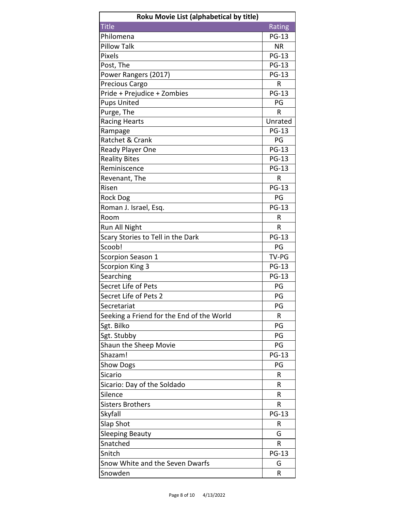| Roku Movie List (alphabetical by title)   |              |
|-------------------------------------------|--------------|
| <b>Title</b>                              | Rating       |
| Philomena                                 | <b>PG-13</b> |
| <b>Pillow Talk</b>                        | <b>NR</b>    |
| <b>Pixels</b>                             | <b>PG-13</b> |
| Post, The                                 | <b>PG-13</b> |
| Power Rangers (2017)                      | <b>PG-13</b> |
| Precious Cargo                            | R            |
| Pride + Prejudice + Zombies               | <b>PG-13</b> |
| <b>Pups United</b>                        | PG           |
| Purge, The                                | R            |
| <b>Racing Hearts</b>                      | Unrated      |
| Rampage                                   | <b>PG-13</b> |
| Ratchet & Crank                           | PG           |
| Ready Player One                          | <b>PG-13</b> |
| <b>Reality Bites</b>                      | <b>PG-13</b> |
| Reminiscence                              | <b>PG-13</b> |
| Revenant, The                             | R            |
| Risen                                     | <b>PG-13</b> |
| <b>Rock Dog</b>                           | PG           |
| Roman J. Israel, Esq.                     | <b>PG-13</b> |
| Room                                      | R            |
| Run All Night                             | R            |
| Scary Stories to Tell in the Dark         | <b>PG-13</b> |
| Scoob!                                    | PG           |
| Scorpion Season 1                         | TV-PG        |
| Scorpion King 3                           | <b>PG-13</b> |
| Searching                                 | <b>PG-13</b> |
| Secret Life of Pets                       | PG           |
| Secret Life of Pets 2                     | PG           |
| Secretariat                               | PG           |
| Seeking a Friend for the End of the World | R            |
| Sgt. Bilko                                | PG           |
| Sgt. Stubby                               | PG           |
| Shaun the Sheep Movie                     | PG           |
| Shazam!                                   | <b>PG-13</b> |
| <b>Show Dogs</b>                          | PG           |
| <b>Sicario</b>                            | R            |
| Sicario: Day of the Soldado               | R            |
| Silence                                   | R            |
| <b>Sisters Brothers</b>                   | R            |
| Skyfall                                   | <b>PG-13</b> |
| Slap Shot                                 | R            |
| <b>Sleeping Beauty</b>                    | G            |
| Snatched                                  | R            |
| Snitch                                    | <b>PG-13</b> |
| Snow White and the Seven Dwarfs           | G            |
| Snowden                                   | R            |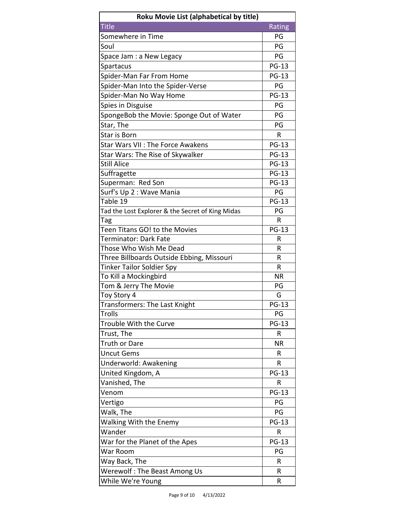| Roku Movie List (alphabetical by title)          |              |
|--------------------------------------------------|--------------|
| <b>Title</b>                                     | Rating       |
| Somewhere in Time                                | PG           |
| Soul                                             | PG           |
| Space Jam : a New Legacy                         | PG           |
| Spartacus                                        | <b>PG-13</b> |
| Spider-Man Far From Home                         | <b>PG-13</b> |
| Spider-Man Into the Spider-Verse                 | PG           |
| Spider-Man No Way Home                           | <b>PG-13</b> |
| Spies in Disguise                                | PG           |
| SpongeBob the Movie: Sponge Out of Water         | PG           |
| Star, The                                        | PG           |
| Star is Born                                     | R            |
| <b>Star Wars VII: The Force Awakens</b>          | <b>PG-13</b> |
| Star Wars: The Rise of Skywalker                 | <b>PG-13</b> |
| <b>Still Alice</b>                               | <b>PG-13</b> |
| Suffragette                                      | <b>PG-13</b> |
| Superman: Red Son                                | <b>PG-13</b> |
| Surf's Up 2 : Wave Mania                         | PG           |
| Table 19                                         | <b>PG-13</b> |
| Tad the Lost Explorer & the Secret of King Midas | PG           |
| Tag                                              | R            |
| Teen Titans GO! to the Movies                    | <b>PG-13</b> |
| <b>Terminator: Dark Fate</b>                     | R            |
| Those Who Wish Me Dead                           | R            |
| Three Billboards Outside Ebbing, Missouri        | R            |
| <b>Tinker Tailor Soldier Spy</b>                 | R            |
| To Kill a Mockingbird                            | <b>NR</b>    |
| Tom & Jerry The Movie                            | PG           |
| Toy Story 4                                      | G            |
| Transformers: The Last Knight                    | <b>PG-13</b> |
| <b>Trolls</b>                                    | PG           |
| <b>Trouble With the Curve</b>                    | <b>PG-13</b> |
| Trust, The                                       | R            |
| <b>Truth or Dare</b>                             | <b>NR</b>    |
| <b>Uncut Gems</b>                                | R            |
| Underworld: Awakening                            | R            |
| United Kingdom, A                                | <b>PG-13</b> |
| Vanished, The                                    | R            |
| Venom                                            | <b>PG-13</b> |
| Vertigo                                          | PG           |
| Walk, The                                        | PG           |
| <b>Walking With the Enemy</b>                    | <b>PG-13</b> |
| Wander                                           | R            |
| War for the Planet of the Apes                   | <b>PG-13</b> |
| War Room                                         | PG           |
| Way Back, The                                    | R            |
| Werewolf: The Beast Among Us                     | R            |
| While We're Young                                | R            |